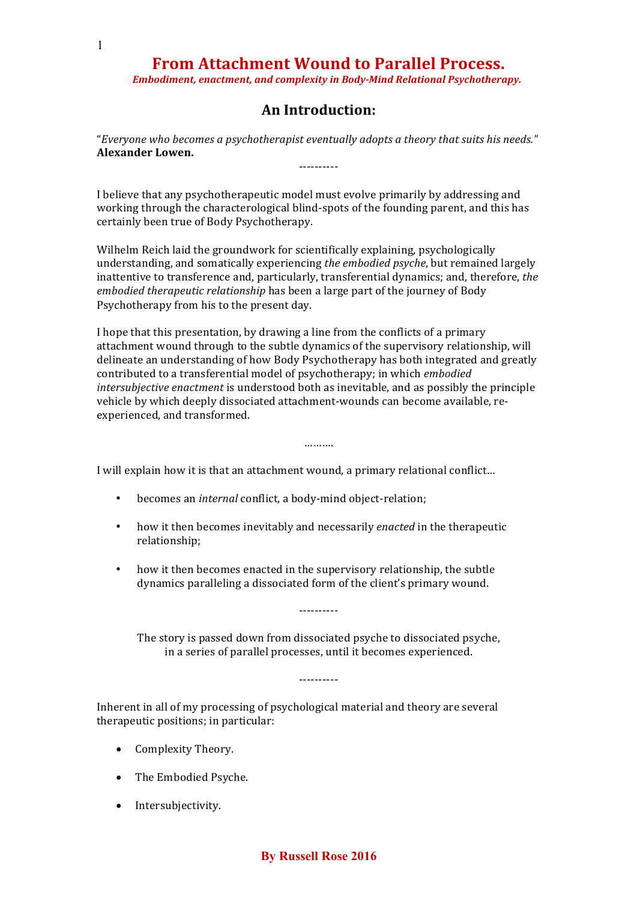*Embodiment, enactment, and complexity in Body-Mind Relational Psychotherapy.*

### **An Introduction:**

"*Everyone who becomes a psychotherapist eventually adopts a theory that suits his needs."* **Alexander Lowen.** ----------

I believe that any psychotherapeutic model must evolve primarily by addressing and working through the characterological blind-spots of the founding parent, and this has certainly been true of Body Psychotherapy.

Wilhelm Reich laid the groundwork for scientifically explaining, psychologically understanding, and somatically experiencing *the embodied psyche*, but remained largely inattentive to transference and, particularly, transferential dynamics; and, therefore, *the embodied therapeutic relationship* has been a large part of the journey of Body Psychotherapy from his to the present day.

I hope that this presentation, by drawing a line from the conflicts of a primary attachment wound through to the subtle dynamics of the supervisory relationship, will delineate an understanding of how Body Psychotherapy has both integrated and greatly contributed to a transferential model of psychotherapy; in which *embodied intersubjective enactment* is understood both as inevitable, and as possibly the principle vehicle by which deeply dissociated attachment-wounds can become available, reexperienced, and transformed.

………

I will explain how it is that an attachment wound, a primary relational conflict…

- becomes an *internal* conflict, a body-mind object-relation;
- how it then becomes inevitably and necessarily *enacted* in the therapeutic relationship;
- how it then becomes enacted in the supervisory relationship, the subtle dynamics paralleling a dissociated form of the client's primary wound.

The story is passed down from dissociated psyche to dissociated psyche, in a series of parallel processes, until it becomes experienced.

----------

----------

Inherent in all of my processing of psychological material and theory are several therapeutic positions; in particular:

- Complexity Theory.
- The Embodied Psyche.
- Intersubjectivity.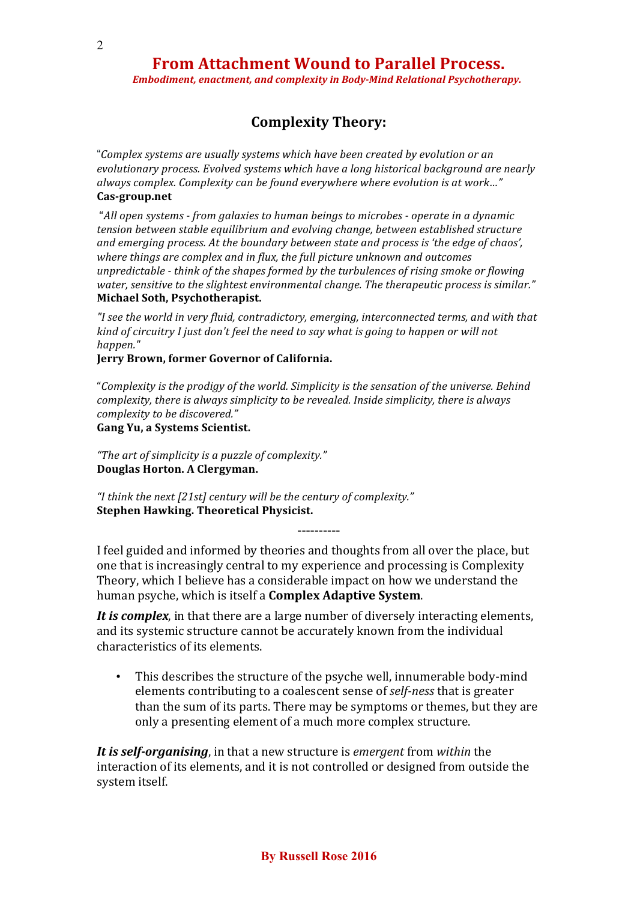*Embodiment, enactment, and complexity in Body-Mind Relational Psychotherapy.*

### **Complexity Theory:**

"*Complex systems are usually systems which have been created by evolution or an evolutionary process. Evolved systems which have a long historical background are nearly always complex. Complexity can be found everywhere where evolution is at work…"* **Cas-group.net**

"*All open systems - from galaxies to human beings to microbes - operate in a dynamic tension between stable equilibrium and evolving change, between established structure and emerging process. At the boundary between state and process is 'the edge of chaos', where things are complex and in flux, the full picture unknown and outcomes unpredictable - think of the shapes formed by the turbulences of rising smoke or flowing water, sensitive to the slightest environmental change. The therapeutic process is similar."* **Michael Soth, Psychotherapist.**

*"I see the world in very fluid, contradictory, emerging, interconnected terms, and with that kind of circuitry I just don't feel the need to say what is going to happen or will not happen."*

**Jerry Brown, former Governor of California.**

"*Complexity is the prodigy of the world. Simplicity is the sensation of the universe. Behind complexity, there is always simplicity to be revealed. Inside simplicity, there is always complexity to be discovered."*

**Gang Yu, a Systems Scientist.**

*"The art of simplicity is a puzzle of complexity."* **Douglas Horton. A Clergyman.**

*"I think the next [21st] century will be the century of complexity."* **Stephen Hawking. Theoretical Physicist.**

----------

I feel guided and informed by theories and thoughts from all over the place, but one that is increasingly central to my experience and processing is Complexity Theory, which I believe has a considerable impact on how we understand the human psyche, which is itself a **Complex Adaptive System**.

*It is complex*, in that there are a large number of diversely interacting elements, and its systemic structure cannot be accurately known from the individual characteristics of its elements.

• This describes the structure of the psyche well, innumerable body-mind elements contributing to a coalescent sense of *self-ness* that is greater than the sum of its parts. There may be symptoms or themes, but they are only a presenting element of a much more complex structure.

*It is self-organising*, in that a new structure is *emergent* from *within* the interaction of its elements, and it is not controlled or designed from outside the system itself.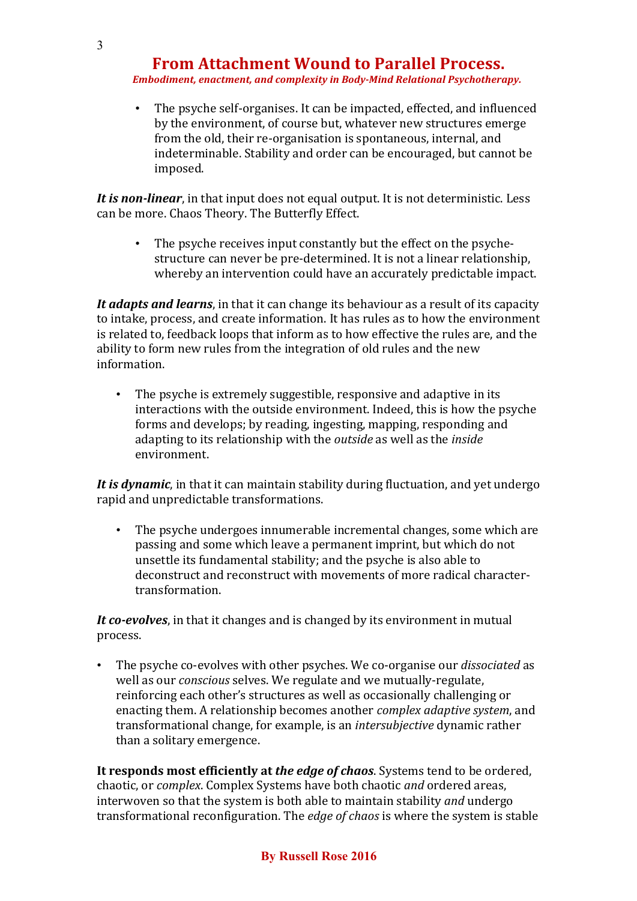*Embodiment, enactment, and complexity in Body-Mind Relational Psychotherapy.*

• The psyche self-organises. It can be impacted, effected, and influenced by the environment, of course but, whatever new structures emerge from the old, their re-organisation is spontaneous, internal, and indeterminable. Stability and order can be encouraged, but cannot be imposed.

*It is non-linear*, in that input does not equal output. It is not deterministic. Less can be more. Chaos Theory. The Butterfly Effect.

• The psyche receives input constantly but the effect on the psychestructure can never be pre-determined. It is not a linear relationship, whereby an intervention could have an accurately predictable impact.

*It adapts and learns*, in that it can change its behaviour as a result of its capacity to intake, process, and create information. It has rules as to how the environment is related to, feedback loops that inform as to how effective the rules are, and the ability to form new rules from the integration of old rules and the new information.

• The psyche is extremely suggestible, responsive and adaptive in its interactions with the outside environment. Indeed, this is how the psyche forms and develops; by reading, ingesting, mapping, responding and adapting to its relationship with the *outside* as well as the *inside* environment.

*It is dynamic*, in that it can maintain stability during fluctuation, and yet undergo rapid and unpredictable transformations.

• The psyche undergoes innumerable incremental changes, some which are passing and some which leave a permanent imprint, but which do not unsettle its fundamental stability; and the psyche is also able to deconstruct and reconstruct with movements of more radical charactertransformation.

*It co-evolves*, in that it changes and is changed by its environment in mutual process.

• The psyche co-evolves with other psyches. We co-organise our *dissociated* as well as our *conscious* selves. We regulate and we mutually-regulate, reinforcing each other's structures as well as occasionally challenging or enacting them. A relationship becomes another *complex adaptive system*, and transformational change, for example, is an *intersubjective* dynamic rather than a solitary emergence.

**It responds most efficiently at** *the edge of chaos*. Systems tend to be ordered, chaotic, or *complex*. Complex Systems have both chaotic *and* ordered areas, interwoven so that the system is both able to maintain stability *and* undergo transformational reconfiguration. The *edge of chaos* is where the system is stable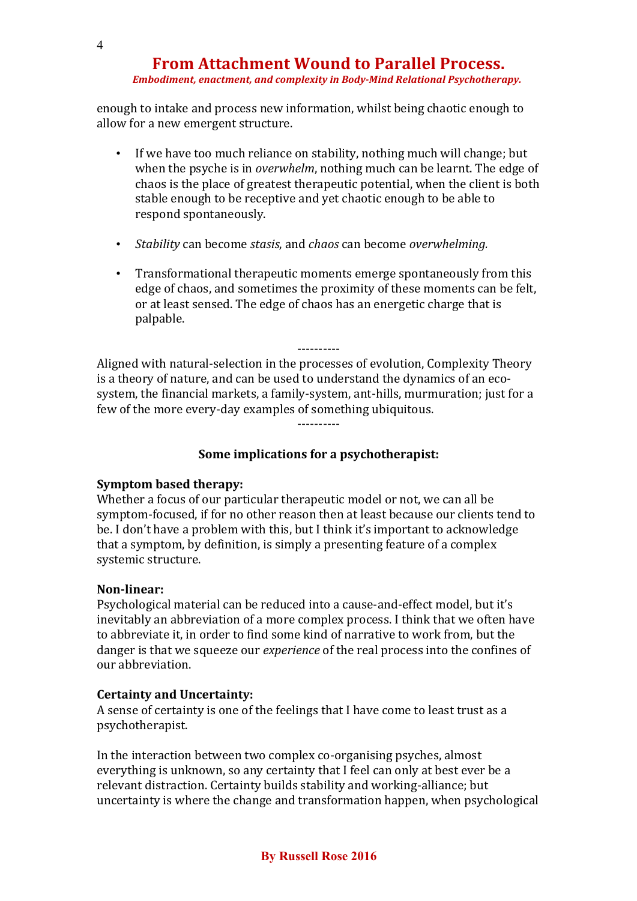#### *Embodiment, enactment, and complexity in Body-Mind Relational Psychotherapy.*

enough to intake and process new information, whilst being chaotic enough to allow for a new emergent structure.

- If we have too much reliance on stability, nothing much will change; but when the psyche is in *overwhelm*, nothing much can be learnt. The edge of chaos is the place of greatest therapeutic potential, when the client is both stable enough to be receptive and yet chaotic enough to be able to respond spontaneously.
- *Stability* can become *stasis*, and *chaos* can become *overwhelming.*
- Transformational therapeutic moments emerge spontaneously from this edge of chaos, and sometimes the proximity of these moments can be felt, or at least sensed. The edge of chaos has an energetic charge that is palpable.

---------- Aligned with natural-selection in the processes of evolution, Complexity Theory is a theory of nature, and can be used to understand the dynamics of an ecosystem, the financial markets, a family-system, ant-hills, murmuration; just for a few of the more every-day examples of something ubiquitous. ----------

**Some implications for a psychotherapist:**

### **Symptom based therapy:**

Whether a focus of our particular therapeutic model or not, we can all be symptom-focused, if for no other reason then at least because our clients tend to be. I don't have a problem with this, but I think it's important to acknowledge that a symptom, by definition, is simply a presenting feature of a complex systemic structure.

### **Non-linear:**

Psychological material can be reduced into a cause-and-effect model, but it's inevitably an abbreviation of a more complex process. I think that we often have to abbreviate it, in order to find some kind of narrative to work from, but the danger is that we squeeze our *experience* of the real process into the confines of our abbreviation.

### **Certainty and Uncertainty:**

A sense of certainty is one of the feelings that I have come to least trust as a psychotherapist.

In the interaction between two complex co-organising psyches, almost everything is unknown, so any certainty that I feel can only at best ever be a relevant distraction. Certainty builds stability and working-alliance; but uncertainty is where the change and transformation happen, when psychological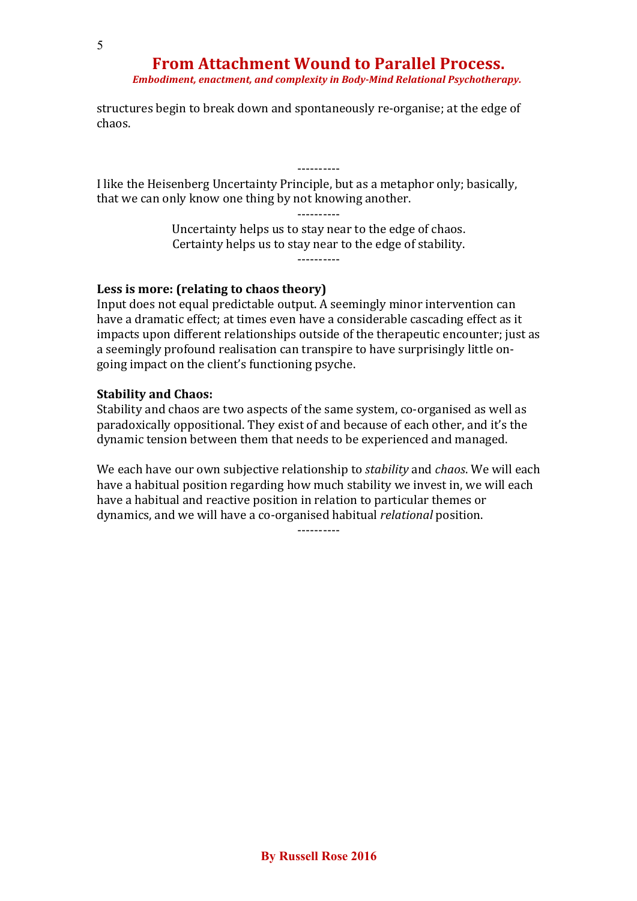*Embodiment, enactment, and complexity in Body-Mind Relational Psychotherapy.*

structures begin to break down and spontaneously re-organise; at the edge of chaos.

I like the Heisenberg Uncertainty Principle, but as a metaphor only; basically, that we can only know one thing by not knowing another.

----------

Uncertainty helps us to stay near to the edge of chaos. Certainty helps us to stay near to the edge of stability. ----------

----------

#### **Less is more: (relating to chaos theory)**

Input does not equal predictable output. A seemingly minor intervention can have a dramatic effect; at times even have a considerable cascading effect as it impacts upon different relationships outside of the therapeutic encounter; just as a seemingly profound realisation can transpire to have surprisingly little ongoing impact on the client's functioning psyche.

#### **Stability and Chaos:**

Stability and chaos are two aspects of the same system, co-organised as well as paradoxically oppositional. They exist of and because of each other, and it's the dynamic tension between them that needs to be experienced and managed.

We each have our own subjective relationship to *stability* and *chaos*. We will each have a habitual position regarding how much stability we invest in, we will each have a habitual and reactive position in relation to particular themes or dynamics, and we will have a co-organised habitual *relational* position.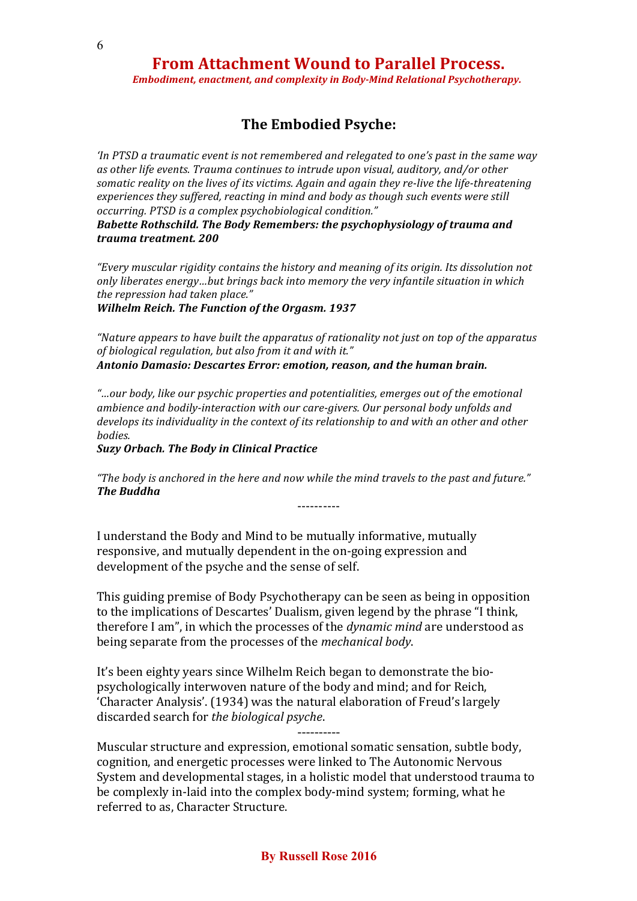*Embodiment, enactment, and complexity in Body-Mind Relational Psychotherapy.*

### **The Embodied Psyche:**

*'In PTSD a traumatic event is not remembered and relegated to one's past in the same way as other life events. Trauma continues to intrude upon visual, auditory, and/or other somatic reality on the lives of its victims. Again and again they re-live the life-threatening experiences they suffered, reacting in mind and body as though such events were still occurring. PTSD is a complex psychobiological condition."*

*Babette Rothschild. The Body Remembers: the psychophysiology of trauma and trauma treatment. 200*

*"Every muscular rigidity contains the history and meaning of its origin. Its dissolution not only liberates energy…but brings back into memory the very infantile situation in which the repression had taken place."*

*Wilhelm Reich. The Function of the Orgasm. 1937*

*"Nature appears to have built the apparatus of rationality not just on top of the apparatus of biological regulation, but also from it and with it." Antonio Damasio: Descartes Error: emotion, reason, and the human brain.*

*"…our body, like our psychic properties and potentialities, emerges out of the emotional ambience and bodily-interaction with our care-givers. Our personal body unfolds and develops its individuality in the context of its relationship to and with an other and other bodies.*

*Suzy Orbach. The Body in Clinical Practice*

*"The body is anchored in the here and now while the mind travels to the past and future." The Buddha*

----------

I understand the Body and Mind to be mutually informative, mutually responsive, and mutually dependent in the on-going expression and development of the psyche and the sense of self.

This guiding premise of Body Psychotherapy can be seen as being in opposition to the implications of Descartes' Dualism, given legend by the phrase "I think, therefore I am", in which the processes of the *dynamic mind* are understood as being separate from the processes of the *mechanical body*.

It's been eighty years since Wilhelm Reich began to demonstrate the biopsychologically interwoven nature of the body and mind; and for Reich, 'Character Analysis'. (1934) was the natural elaboration of Freud's largely discarded search for *the biological psyche*.

---------- Muscular structure and expression, emotional somatic sensation, subtle body, cognition, and energetic processes were linked to The Autonomic Nervous System and developmental stages, in a holistic model that understood trauma to be complexly in-laid into the complex body-mind system; forming, what he referred to as, Character Structure.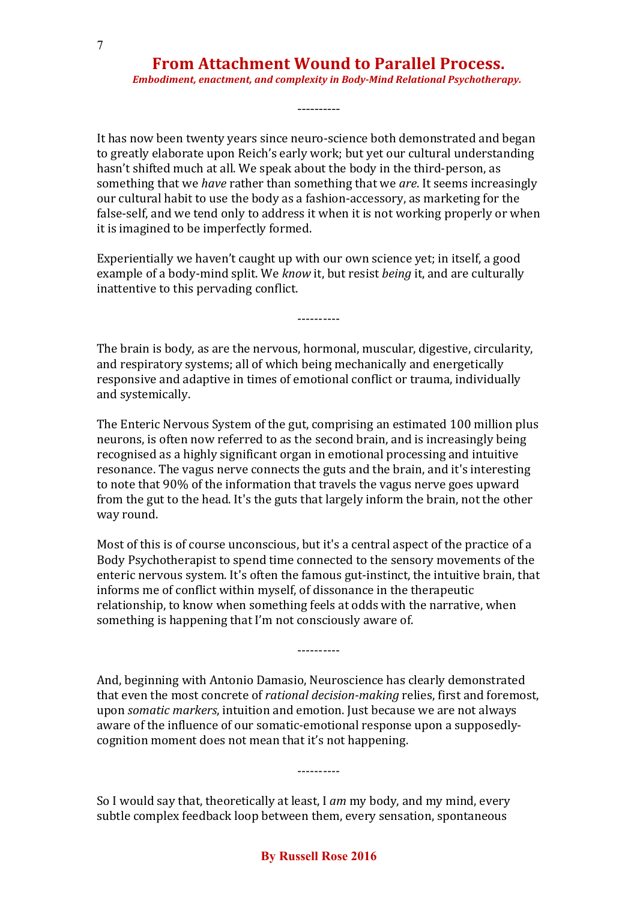*Embodiment, enactment, and complexity in Body-Mind Relational Psychotherapy.*

----------

It has now been twenty years since neuro-science both demonstrated and began to greatly elaborate upon Reich's early work; but yet our cultural understanding hasn't shifted much at all. We speak about the body in the third-person, as something that we *have* rather than something that we *are*. It seems increasingly our cultural habit to use the body as a fashion-accessory, as marketing for the false-self, and we tend only to address it when it is not working properly or when it is imagined to be imperfectly formed.

Experientially we haven't caught up with our own science yet; in itself, a good example of a body-mind split. We *know* it, but resist *being* it, and are culturally inattentive to this pervading conflict.

The brain is body, as are the nervous, hormonal, muscular, digestive, circularity, and respiratory systems; all of which being mechanically and energetically responsive and adaptive in times of emotional conflict or trauma, individually and systemically.

----------

The Enteric Nervous System of the gut, comprising an estimated 100 million plus neurons, is often now referred to as the second brain, and is increasingly being recognised as a highly significant organ in emotional processing and intuitive resonance. The vagus nerve connects the guts and the brain, and it's interesting to note that 90% of the information that travels the vagus nerve goes upward from the gut to the head. It's the guts that largely inform the brain, not the other way round.

Most of this is of course unconscious, but it's a central aspect of the practice of a Body Psychotherapist to spend time connected to the sensory movements of the enteric nervous system. It's often the famous gut-instinct, the intuitive brain, that informs me of conflict within myself, of dissonance in the therapeutic relationship, to know when something feels at odds with the narrative, when something is happening that I'm not consciously aware of.

And, beginning with Antonio Damasio, Neuroscience has clearly demonstrated that even the most concrete of *rational decision-making* relies, first and foremost, upon *somatic markers*, intuition and emotion. Just because we are not always aware of the influence of our somatic-emotional response upon a supposedlycognition moment does not mean that it's not happening.

----------

----------

So I would say that, theoretically at least, I *am* my body, and my mind, every subtle complex feedback loop between them, every sensation, spontaneous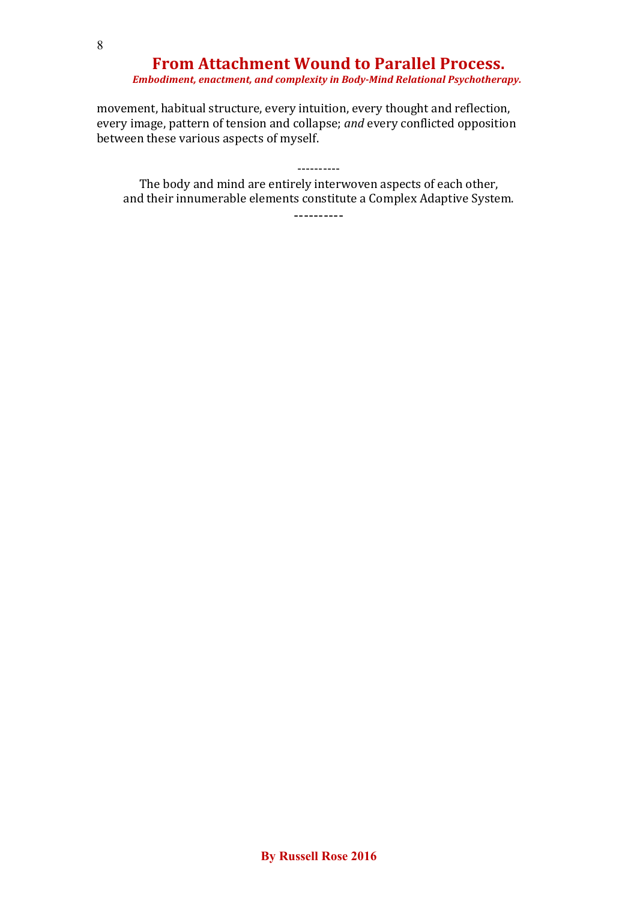#### *Embodiment, enactment, and complexity in Body-Mind Relational Psychotherapy.*

movement, habitual structure, every intuition, every thought and reflection, every image, pattern of tension and collapse; *and* every conflicted opposition between these various aspects of myself.

The body and mind are entirely interwoven aspects of each other, and their innumerable elements constitute a Complex Adaptive System.

----------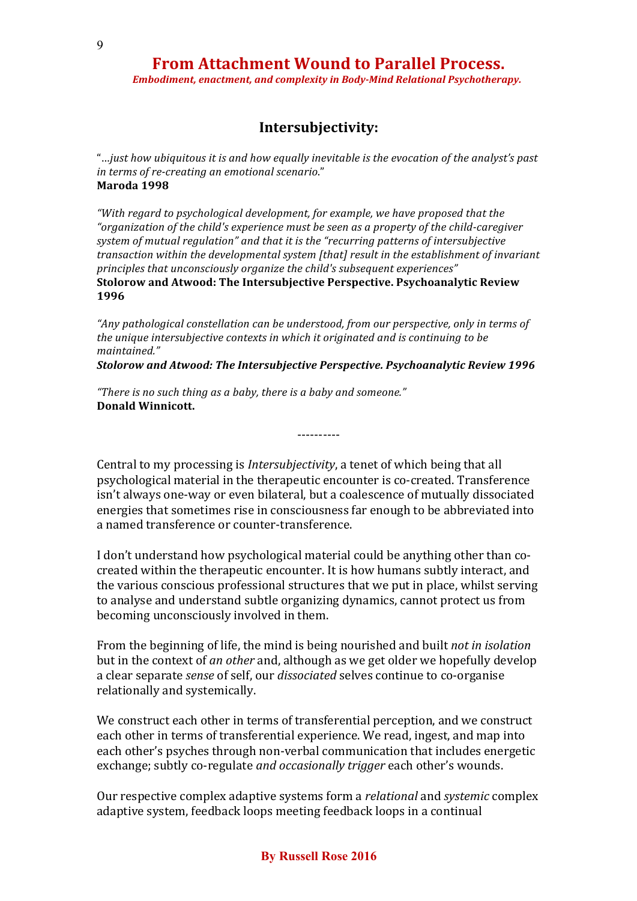*Embodiment, enactment, and complexity in Body-Mind Relational Psychotherapy.*

### **Intersubjectivity:**

"…*just how ubiquitous it is and how equally inevitable is the evocation of the analyst's past in terms of re-creating an emotional scenario*." **Maroda 1998**

*"With regard to psychological development, for example, we have proposed that the "organization of the child's experience must be seen as a property of the child-caregiver system of mutual regulation" and that it is the "recurring patterns of intersubjective transaction within the developmental system [that] result in the establishment of invariant principles that unconsciously organize the child's subsequent experiences"* **Stolorow and Atwood: The Intersubjective Perspective. Psychoanalytic Review 1996**

*"Any pathological constellation can be understood, from our perspective, only in terms of the unique intersubjective contexts in which it originated and is continuing to be maintained."*

*Stolorow and Atwood: The Intersubjective Perspective. Psychoanalytic Review 1996*

*"There is no such thing as a baby, there is a baby and someone."* **Donald Winnicott.**

Central to my processing is *Intersubjectivity*, a tenet of which being that all psychological material in the therapeutic encounter is co-created. Transference isn't always one-way or even bilateral, but a coalescence of mutually dissociated energies that sometimes rise in consciousness far enough to be abbreviated into a named transference or counter-transference.

----------

I don't understand how psychological material could be anything other than cocreated within the therapeutic encounter. It is how humans subtly interact, and the various conscious professional structures that we put in place, whilst serving to analyse and understand subtle organizing dynamics, cannot protect us from becoming unconsciously involved in them.

From the beginning of life, the mind is being nourished and built *not in isolation* but in the context of *an other* and, although as we get older we hopefully develop a clear separate *sense* of self, our *dissociated* selves continue to co-organise relationally and systemically.

We construct each other in terms of transferential perception, and we construct each other in terms of transferential experience. We read, ingest, and map into each other's psyches through non-verbal communication that includes energetic exchange; subtly co-regulate *and occasionally trigger* each other's wounds.

Our respective complex adaptive systems form a *relational* and *systemic* complex adaptive system, feedback loops meeting feedback loops in a continual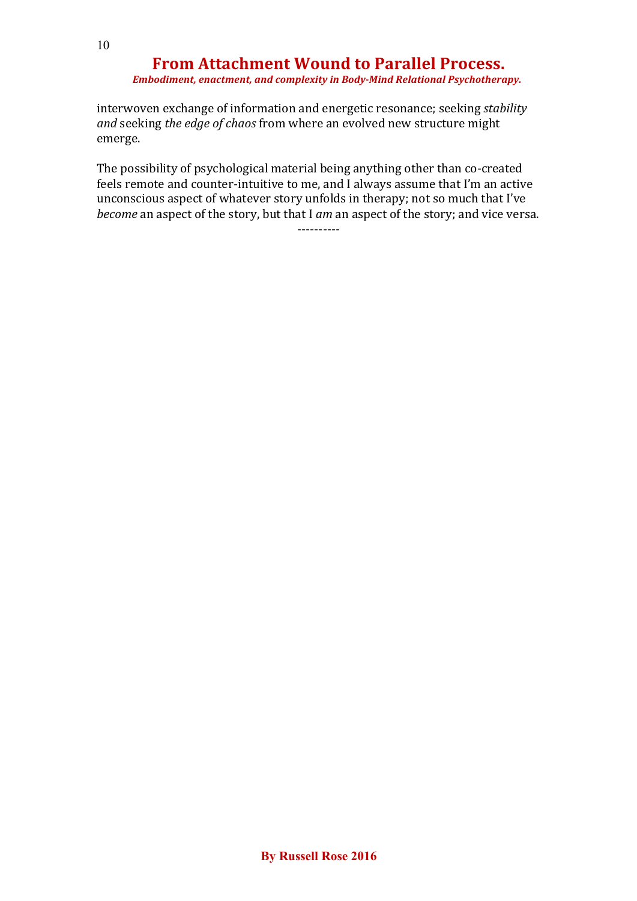*Embodiment, enactment, and complexity in Body-Mind Relational Psychotherapy.*

interwoven exchange of information and energetic resonance; seeking *stability and* seeking *the edge of chaos* from where an evolved new structure might emerge.

The possibility of psychological material being anything other than co-created feels remote and counter-intuitive to me, and I always assume that I'm an active unconscious aspect of whatever story unfolds in therapy; not so much that I've *become* an aspect of the story, but that I *am* an aspect of the story; and vice versa.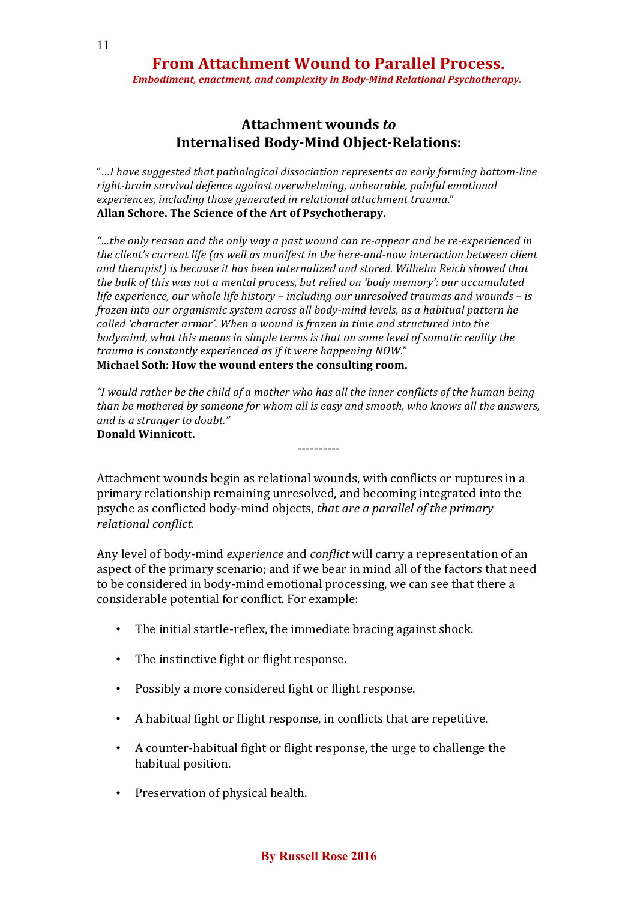*Embodiment, enactment, and complexity in Body-Mind Relational Psychotherapy.*

### **Attachment wounds** *to* **Internalised Body-Mind Object-Relations:**

"…*I have suggested that pathological dissociation represents an early forming bottom-line right-brain survival defence against overwhelming, unbearable, painful emotional experiences, including those generated in relational attachment trauma*." **Allan Schore. The Science of the Art of Psychotherapy.**

*"…the only reason and the only way a past wound can re-appear and be re-experienced in the client's current life (as well as manifest in the here-and-now interaction between client and therapist) is because it has been internalized and stored. Wilhelm Reich showed that the bulk of this was not a mental process, but relied on 'body memory': our accumulated life experience, our whole life history – including our unresolved traumas and wounds – is frozen into our organismic system across all body-mind levels, as a habitual pattern he called 'character armor'. When a wound is frozen in time and structured into the bodymind, what this means in simple terms is that on some level of somatic reality the trauma is constantly experienced as if it were happening NOW*." **Michael Soth: How the wound enters the consulting room.**

*"I would rather be the child of a mother who has all the inner conflicts of the human being than be mothered by someone for whom all is easy and smooth, who knows all the answers, and is a stranger to doubt."* **Donald Winnicott.**

----------

Attachment wounds begin as relational wounds, with conflicts or ruptures in a primary relationship remaining unresolved, and becoming integrated into the psyche as conflicted body-mind objects, *that are a parallel of the primary relational conflict.*

Any level of body-mind *experience* and *conflict* will carry a representation of an aspect of the primary scenario; and if we bear in mind all of the factors that need to be considered in body-mind emotional processing, we can see that there a considerable potential for conflict. For example:

- The initial startle-reflex, the immediate bracing against shock.
- The instinctive fight or flight response.
- Possibly a more considered fight or flight response.
- A habitual fight or flight response, in conflicts that are repetitive.
- A counter-habitual fight or flight response, the urge to challenge the habitual position.
- Preservation of physical health.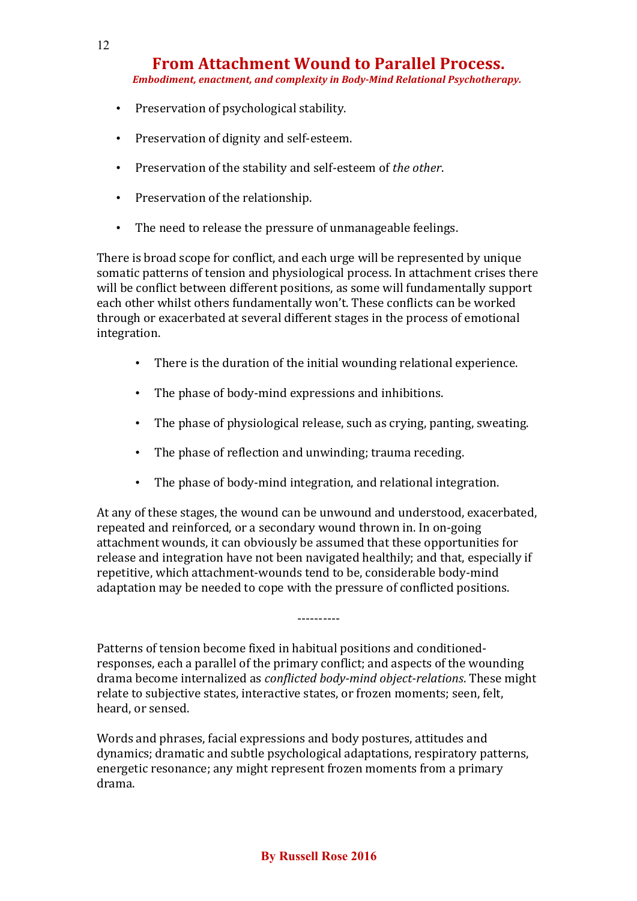*Embodiment, enactment, and complexity in Body-Mind Relational Psychotherapy.*

- Preservation of psychological stability.
- Preservation of dignity and self-esteem.
- Preservation of the stability and self-esteem of *the other*.
- Preservation of the relationship.
- The need to release the pressure of unmanageable feelings.

There is broad scope for conflict, and each urge will be represented by unique somatic patterns of tension and physiological process. In attachment crises there will be conflict between different positions, as some will fundamentally support each other whilst others fundamentally won't. These conflicts can be worked through or exacerbated at several different stages in the process of emotional integration.

- There is the duration of the initial wounding relational experience.
- The phase of body-mind expressions and inhibitions.
- The phase of physiological release, such as crying, panting, sweating.
- The phase of reflection and unwinding; trauma receding.
- The phase of body-mind integration, and relational integration.

At any of these stages, the wound can be unwound and understood, exacerbated, repeated and reinforced, or a secondary wound thrown in. In on-going attachment wounds, it can obviously be assumed that these opportunities for release and integration have not been navigated healthily; and that, especially if repetitive, which attachment-wounds tend to be, considerable body-mind adaptation may be needed to cope with the pressure of conflicted positions.

----------

Patterns of tension become fixed in habitual positions and conditionedresponses, each a parallel of the primary conflict; and aspects of the wounding drama become internalized as *conflicted body-mind object-relations*. These might relate to subjective states, interactive states, or frozen moments; seen, felt, heard, or sensed.

Words and phrases, facial expressions and body postures, attitudes and dynamics; dramatic and subtle psychological adaptations, respiratory patterns, energetic resonance; any might represent frozen moments from a primary drama.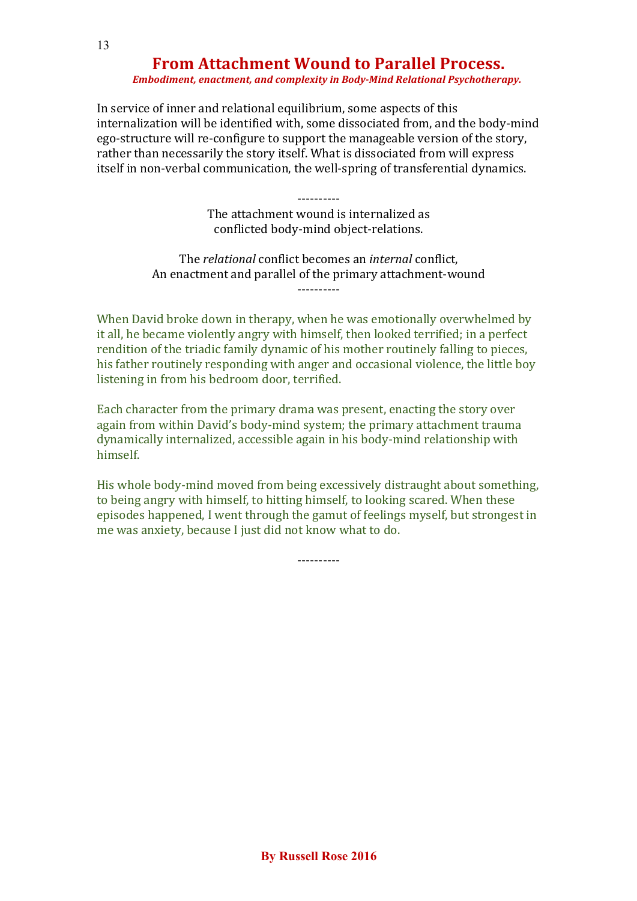#### *Embodiment, enactment, and complexity in Body-Mind Relational Psychotherapy.*

In service of inner and relational equilibrium, some aspects of this internalization will be identified with, some dissociated from, and the body-mind ego-structure will re-configure to support the manageable version of the story, rather than necessarily the story itself. What is dissociated from will express itself in non-verbal communication, the well-spring of transferential dynamics.

> ---------- The attachment wound is internalized as conflicted body-mind object-relations.

The *relational* conflict becomes an *internal* conflict, An enactment and parallel of the primary attachment-wound ----------

When David broke down in therapy, when he was emotionally overwhelmed by it all, he became violently angry with himself, then looked terrified; in a perfect rendition of the triadic family dynamic of his mother routinely falling to pieces, his father routinely responding with anger and occasional violence, the little boy listening in from his bedroom door, terrified.

Each character from the primary drama was present, enacting the story over again from within David's body-mind system; the primary attachment trauma dynamically internalized, accessible again in his body-mind relationship with himself.

His whole body-mind moved from being excessively distraught about something, to being angry with himself, to hitting himself, to looking scared. When these episodes happened, I went through the gamut of feelings myself, but strongest in me was anxiety, because I just did not know what to do.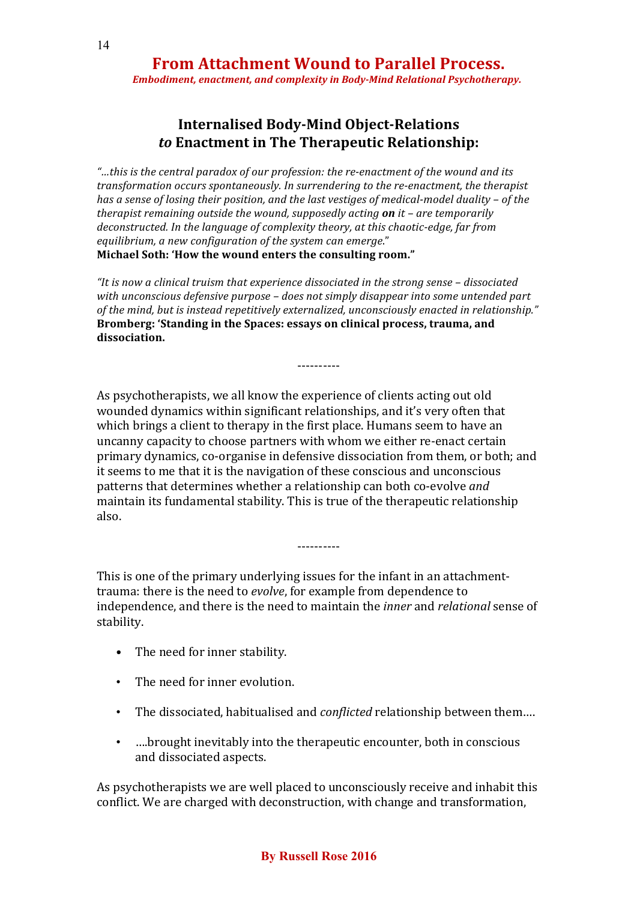*Embodiment, enactment, and complexity in Body-Mind Relational Psychotherapy.*

### **Internalised Body-Mind Object-Relations** *to* **Enactment in The Therapeutic Relationship:**

*"…this is the central paradox of our profession: the re-enactment of the wound and its transformation occurs spontaneously. In surrendering to the re-enactment, the therapist has a sense of losing their position, and the last vestiges of medical-model duality – of the therapist remaining outside the wound, supposedly acting on it – are temporarily deconstructed. In the language of complexity theory, at this chaotic-edge, far from equilibrium, a new configuration of the system can emerge*." **Michael Soth: 'How the wound enters the consulting room."**

*"It is now a clinical truism that experience dissociated in the strong sense – dissociated with unconscious defensive purpose – does not simply disappear into some untended part of the mind, but is instead repetitively externalized, unconsciously enacted in relationship."* **Bromberg: 'Standing in the Spaces: essays on clinical process, trauma, and dissociation.**

----------

As psychotherapists, we all know the experience of clients acting out old wounded dynamics within significant relationships, and it's very often that which brings a client to therapy in the first place. Humans seem to have an uncanny capacity to choose partners with whom we either re-enact certain primary dynamics, co-organise in defensive dissociation from them, or both; and it seems to me that it is the navigation of these conscious and unconscious patterns that determines whether a relationship can both co-evolve *and* maintain its fundamental stability. This is true of the therapeutic relationship also.

This is one of the primary underlying issues for the infant in an attachmenttrauma: there is the need to *evolve*, for example from dependence to independence, and there is the need to maintain the *inner* and *relational* sense of stability.

----------

- The need for inner stability.
- The need for inner evolution.
- The dissociated, habitualised and *conflicted* relationship between them….
- ….brought inevitably into the therapeutic encounter, both in conscious and dissociated aspects.

As psychotherapists we are well placed to unconsciously receive and inhabit this conflict. We are charged with deconstruction, with change and transformation,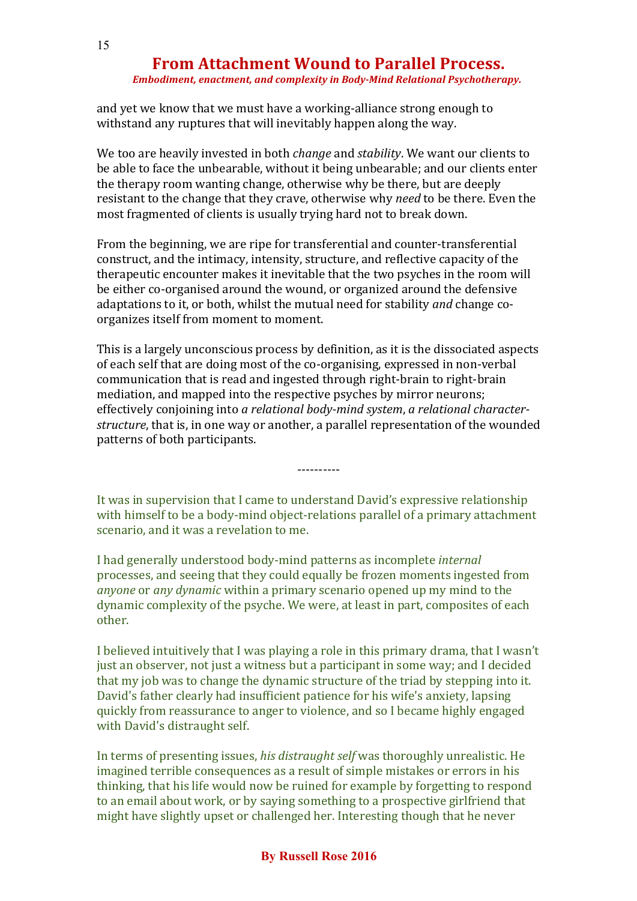#### *Embodiment, enactment, and complexity in Body-Mind Relational Psychotherapy.*

and yet we know that we must have a working-alliance strong enough to withstand any ruptures that will inevitably happen along the way.

We too are heavily invested in both *change* and *stability*. We want our clients to be able to face the unbearable, without it being unbearable; and our clients enter the therapy room wanting change, otherwise why be there, but are deeply resistant to the change that they crave, otherwise why *need* to be there. Even the most fragmented of clients is usually trying hard not to break down.

From the beginning, we are ripe for transferential and counter-transferential construct, and the intimacy, intensity, structure, and reflective capacity of the therapeutic encounter makes it inevitable that the two psyches in the room will be either co-organised around the wound, or organized around the defensive adaptations to it, or both, whilst the mutual need for stability *and* change coorganizes itself from moment to moment.

This is a largely unconscious process by definition, as it is the dissociated aspects of each self that are doing most of the co-organising, expressed in non-verbal communication that is read and ingested through right-brain to right-brain mediation, and mapped into the respective psyches by mirror neurons; effectively conjoining into *a relational body-mind system*, *a relational characterstructure*, that is, in one way or another, a parallel representation of the wounded patterns of both participants.

It was in supervision that I came to understand David's expressive relationship with himself to be a body-mind object-relations parallel of a primary attachment scenario, and it was a revelation to me.

----------

I had generally understood body-mind patterns as incomplete *internal* processes, and seeing that they could equally be frozen moments ingested from *anyone* or *any dynamic* within a primary scenario opened up my mind to the dynamic complexity of the psyche. We were, at least in part, composites of each other.

I believed intuitively that I was playing a role in this primary drama, that I wasn't just an observer, not just a witness but a participant in some way; and I decided that my job was to change the dynamic structure of the triad by stepping into it. David's father clearly had insufficient patience for his wife's anxiety, lapsing quickly from reassurance to anger to violence, and so I became highly engaged with David's distraught self.

In terms of presenting issues, *his distraught self* was thoroughly unrealistic. He imagined terrible consequences as a result of simple mistakes or errors in his thinking, that his life would now be ruined for example by forgetting to respond to an email about work, or by saying something to a prospective girlfriend that might have slightly upset or challenged her. Interesting though that he never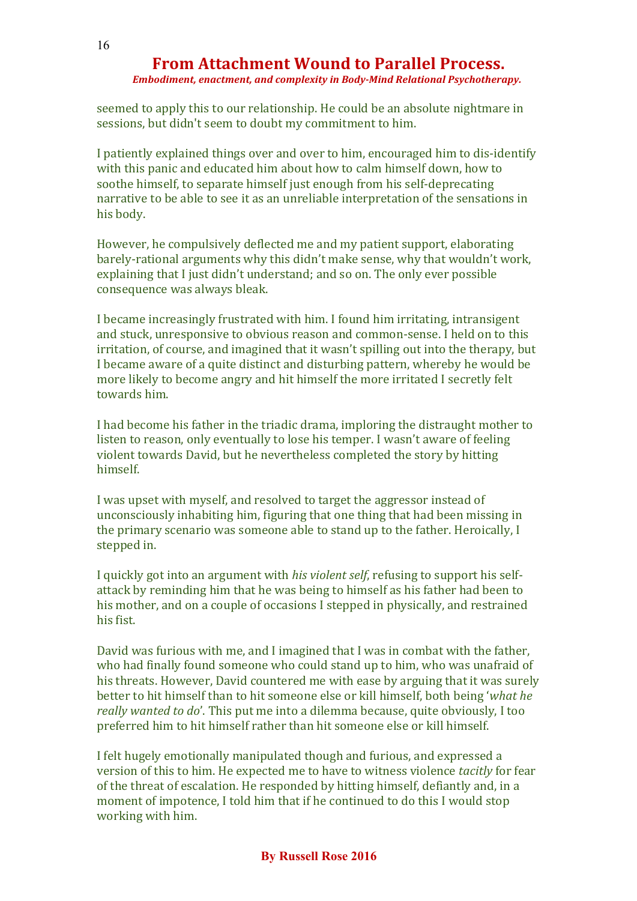*Embodiment, enactment, and complexity in Body-Mind Relational Psychotherapy.*

seemed to apply this to our relationship. He could be an absolute nightmare in sessions, but didn't seem to doubt my commitment to him.

I patiently explained things over and over to him, encouraged him to dis-identify with this panic and educated him about how to calm himself down, how to soothe himself, to separate himself just enough from his self-deprecating narrative to be able to see it as an unreliable interpretation of the sensations in his body.

However, he compulsively deflected me and my patient support, elaborating barely-rational arguments why this didn't make sense, why that wouldn't work, explaining that I just didn't understand; and so on. The only ever possible consequence was always bleak.

I became increasingly frustrated with him. I found him irritating, intransigent and stuck, unresponsive to obvious reason and common-sense. I held on to this irritation, of course, and imagined that it wasn't spilling out into the therapy, but I became aware of a quite distinct and disturbing pattern, whereby he would be more likely to become angry and hit himself the more irritated I secretly felt towards him.

I had become his father in the triadic drama, imploring the distraught mother to listen to reason, only eventually to lose his temper. I wasn't aware of feeling violent towards David, but he nevertheless completed the story by hitting himself.

I was upset with myself, and resolved to target the aggressor instead of unconsciously inhabiting him, figuring that one thing that had been missing in the primary scenario was someone able to stand up to the father. Heroically, I stepped in.

I quickly got into an argument with *his violent self*, refusing to support his selfattack by reminding him that he was being to himself as his father had been to his mother, and on a couple of occasions I stepped in physically, and restrained his fist.

David was furious with me, and I imagined that I was in combat with the father, who had finally found someone who could stand up to him, who was unafraid of his threats. However, David countered me with ease by arguing that it was surely better to hit himself than to hit someone else or kill himself, both being '*what he really wanted to do*'. This put me into a dilemma because, quite obviously, I too preferred him to hit himself rather than hit someone else or kill himself.

I felt hugely emotionally manipulated though and furious, and expressed a version of this to him. He expected me to have to witness violence *tacitly* for fear of the threat of escalation. He responded by hitting himself, defiantly and, in a moment of impotence, I told him that if he continued to do this I would stop working with him.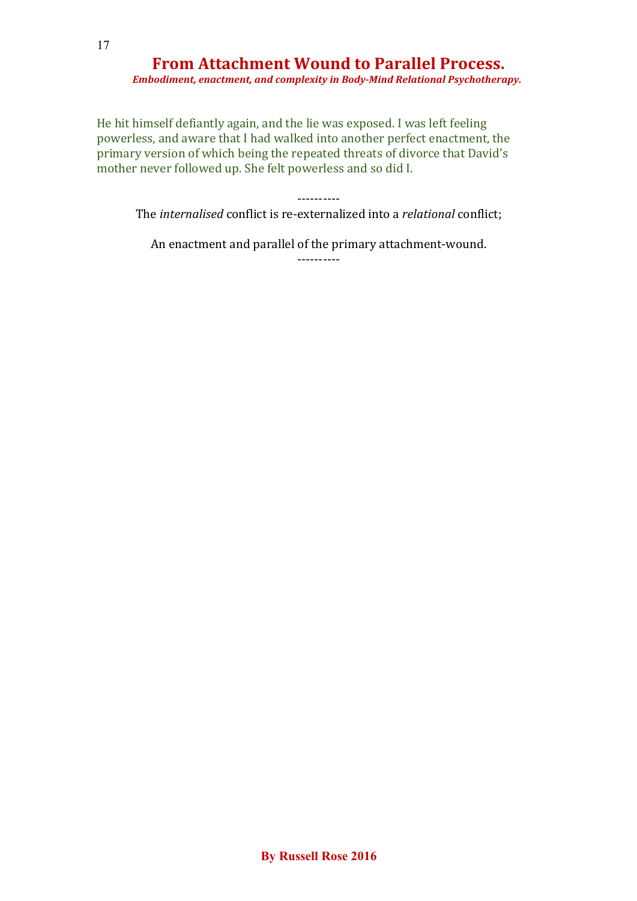17

# **From Attachment Wound to Parallel Process.**

 *Embodiment, enactment, and complexity in Body-Mind Relational Psychotherapy.*

He hit himself defiantly again, and the lie was exposed. I was left feeling powerless, and aware that I had walked into another perfect enactment, the primary version of which being the repeated threats of divorce that David's mother never followed up. She felt powerless and so did I.

#### ----------

The *internalised* conflict is re-externalized into a *relational* conflict;

An enactment and parallel of the primary attachment-wound.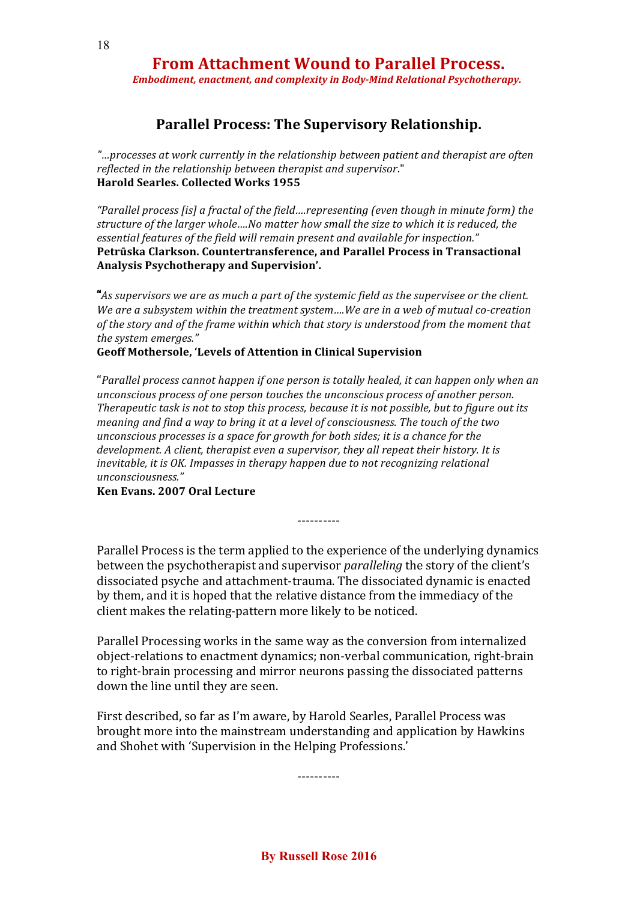*Embodiment, enactment, and complexity in Body-Mind Relational Psychotherapy.*

### **Parallel Process: The Supervisory Relationship.**

*"…processes at work currently in the relationship between patient and therapist are often reflected in the relationship between therapist and supervisor*." **Harold Searles. Collected Works 1955**

*"Parallel process [is] a fractal of the field….representing (even though in minute form) the structure of the larger whole….No matter how small the size to which it is reduced, the essential features of the field will remain present and available for inspection."* **Petrūska Clarkson. Countertransference, and Parallel Process in Transactional Analysis Psychotherapy and Supervision'.**

"*As supervisors we are as much a part of the systemic field as the supervisee or the client. We are a subsystem within the treatment system….We are in a web of mutual co-creation of the story and of the frame within which that story is understood from the moment that the system emerges."*

#### **Geoff Mothersole, 'Levels of Attention in Clinical Supervision**

"*Parallel process cannot happen if one person is totally healed, it can happen only when an unconscious process of one person touches the unconscious process of another person. Therapeutic task is not to stop this process, because it is not possible, but to figure out its meaning and find a way to bring it at a level of consciousness. The touch of the two unconscious processes is a space for growth for both sides; it is a chance for the development. A client, therapist even a supervisor, they all repeat their history. It is inevitable, it is OK. Impasses in therapy happen due to not recognizing relational unconsciousness."*

**Ken Evans. 2007 Oral Lecture**

----------

Parallel Process is the term applied to the experience of the underlying dynamics between the psychotherapist and supervisor *paralleling* the story of the client's dissociated psyche and attachment-trauma. The dissociated dynamic is enacted by them, and it is hoped that the relative distance from the immediacy of the client makes the relating-pattern more likely to be noticed.

Parallel Processing works in the same way as the conversion from internalized object-relations to enactment dynamics; non-verbal communication, right-brain to right-brain processing and mirror neurons passing the dissociated patterns down the line until they are seen.

First described, so far as I'm aware, by Harold Searles, Parallel Process was brought more into the mainstream understanding and application by Hawkins and Shohet with 'Supervision in the Helping Professions.'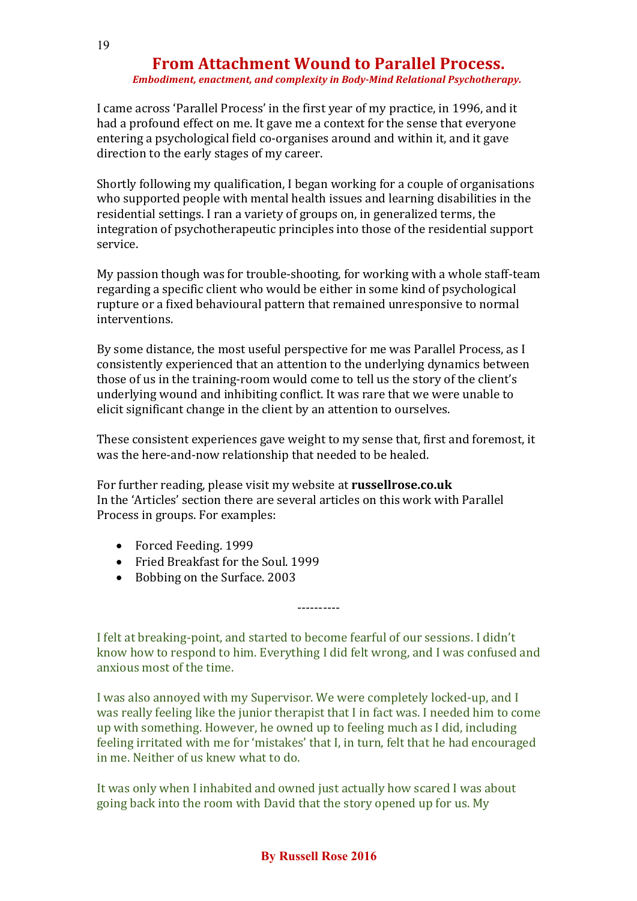#### *Embodiment, enactment, and complexity in Body-Mind Relational Psychotherapy.*

I came across 'Parallel Process' in the first year of my practice, in 1996, and it had a profound effect on me. It gave me a context for the sense that everyone entering a psychological field co-organises around and within it, and it gave direction to the early stages of my career.

Shortly following my qualification, I began working for a couple of organisations who supported people with mental health issues and learning disabilities in the residential settings. I ran a variety of groups on, in generalized terms, the integration of psychotherapeutic principles into those of the residential support service.

My passion though was for trouble-shooting, for working with a whole staff-team regarding a specific client who would be either in some kind of psychological rupture or a fixed behavioural pattern that remained unresponsive to normal interventions.

By some distance, the most useful perspective for me was Parallel Process, as I consistently experienced that an attention to the underlying dynamics between those of us in the training-room would come to tell us the story of the client's underlying wound and inhibiting conflict. It was rare that we were unable to elicit significant change in the client by an attention to ourselves.

These consistent experiences gave weight to my sense that, first and foremost, it was the here-and-now relationship that needed to be healed.

For further reading, please visit my website at **russellrose.co.uk** In the 'Articles' section there are several articles on this work with Parallel Process in groups. For examples:

- Forced Feeding. 1999
- Fried Breakfast for the Soul. 1999
- Bobbing on the Surface. 2003

I felt at breaking-point, and started to become fearful of our sessions. I didn't know how to respond to him. Everything I did felt wrong, and I was confused and anxious most of the time.

----------

I was also annoyed with my Supervisor. We were completely locked-up, and I was really feeling like the junior therapist that I in fact was. I needed him to come up with something. However, he owned up to feeling much as I did, including feeling irritated with me for 'mistakes' that I, in turn, felt that he had encouraged in me. Neither of us knew what to do.

It was only when I inhabited and owned just actually how scared I was about going back into the room with David that the story opened up for us. My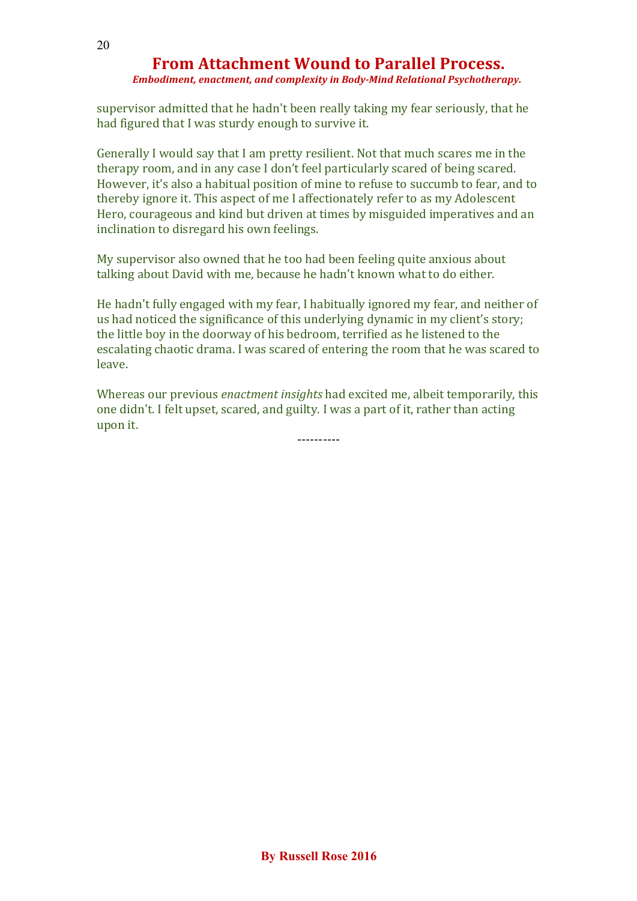*Embodiment, enactment, and complexity in Body-Mind Relational Psychotherapy.*

supervisor admitted that he hadn't been really taking my fear seriously, that he had figured that I was sturdy enough to survive it.

Generally I would say that I am pretty resilient. Not that much scares me in the therapy room, and in any case I don't feel particularly scared of being scared. However, it's also a habitual position of mine to refuse to succumb to fear, and to thereby ignore it. This aspect of me I affectionately refer to as my Adolescent Hero, courageous and kind but driven at times by misguided imperatives and an inclination to disregard his own feelings.

My supervisor also owned that he too had been feeling quite anxious about talking about David with me, because he hadn't known what to do either.

He hadn't fully engaged with my fear, I habitually ignored my fear, and neither of us had noticed the significance of this underlying dynamic in my client's story; the little boy in the doorway of his bedroom, terrified as he listened to the escalating chaotic drama. I was scared of entering the room that he was scared to leave.

Whereas our previous *enactment insights* had excited me, albeit temporarily, this one didn't. I felt upset, scared, and guilty. I was a part of it, rather than acting upon it.

----------

20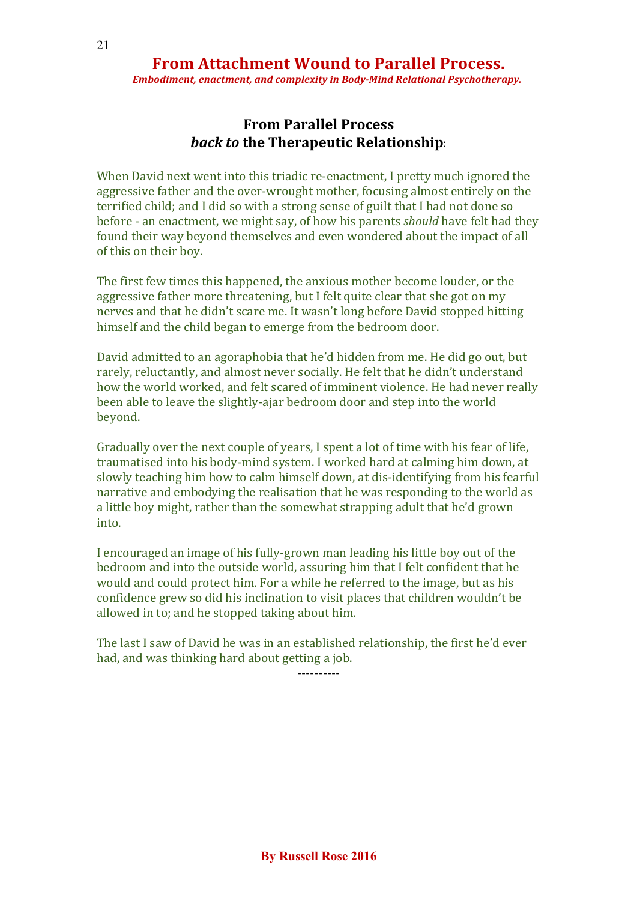*Embodiment, enactment, and complexity in Body-Mind Relational Psychotherapy.*

## **From Parallel Process** *back to* **the Therapeutic Relationship**:

When David next went into this triadic re-enactment, I pretty much ignored the aggressive father and the over-wrought mother, focusing almost entirely on the terrified child; and I did so with a strong sense of guilt that I had not done so before - an enactment, we might say, of how his parents *should* have felt had they found their way beyond themselves and even wondered about the impact of all of this on their boy.

The first few times this happened, the anxious mother become louder, or the aggressive father more threatening, but I felt quite clear that she got on my nerves and that he didn't scare me. It wasn't long before David stopped hitting himself and the child began to emerge from the bedroom door.

David admitted to an agoraphobia that he'd hidden from me. He did go out, but rarely, reluctantly, and almost never socially. He felt that he didn't understand how the world worked, and felt scared of imminent violence. He had never really been able to leave the slightly-ajar bedroom door and step into the world beyond.

Gradually over the next couple of years, I spent a lot of time with his fear of life, traumatised into his body-mind system. I worked hard at calming him down, at slowly teaching him how to calm himself down, at dis-identifying from his fearful narrative and embodying the realisation that he was responding to the world as a little boy might, rather than the somewhat strapping adult that he'd grown into.

I encouraged an image of his fully-grown man leading his little boy out of the bedroom and into the outside world, assuring him that I felt confident that he would and could protect him. For a while he referred to the image, but as his confidence grew so did his inclination to visit places that children wouldn't be allowed in to; and he stopped taking about him.

The last I saw of David he was in an established relationship, the first he'd ever had, and was thinking hard about getting a job.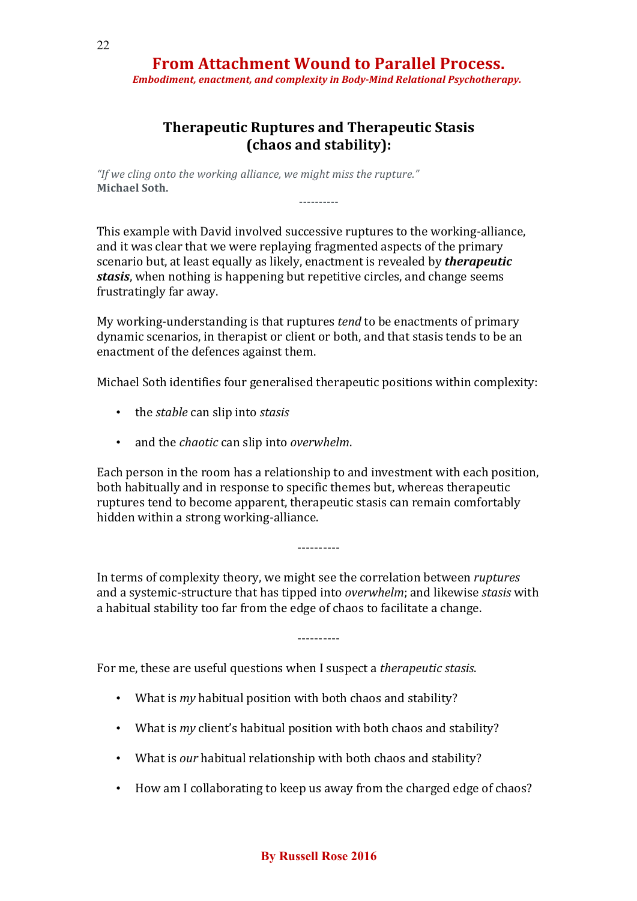*Embodiment, enactment, and complexity in Body-Mind Relational Psychotherapy.*

### **Therapeutic Ruptures and Therapeutic Stasis (chaos and stability):**

**----------**

*"If we cling onto the working alliance, we might miss the rupture."* **Michael Soth.**

This example with David involved successive ruptures to the working-alliance, and it was clear that we were replaying fragmented aspects of the primary scenario but, at least equally as likely, enactment is revealed by *therapeutic stasis*, when nothing is happening but repetitive circles, and change seems frustratingly far away.

My working-understanding is that ruptures *tend* to be enactments of primary dynamic scenarios, in therapist or client or both, and that stasis tends to be an enactment of the defences against them.

Michael Soth identifies four generalised therapeutic positions within complexity:

- the *stable* can slip into *stasis*
- and the *chaotic* can slip into *overwhelm*.

Each person in the room has a relationship to and investment with each position, both habitually and in response to specific themes but, whereas therapeutic ruptures tend to become apparent, therapeutic stasis can remain comfortably hidden within a strong working-alliance.

In terms of complexity theory, we might see the correlation between *ruptures* and a systemic-structure that has tipped into *overwhelm*; and likewise *stasis* with a habitual stability too far from the edge of chaos to facilitate a change.

----------

----------

For me, these are useful questions when I suspect a *therapeutic stasis*.

- What is *my* habitual position with both chaos and stability?
- What is *my* client's habitual position with both chaos and stability?
- What is *our* habitual relationship with both chaos and stability?
- How am I collaborating to keep us away from the charged edge of chaos?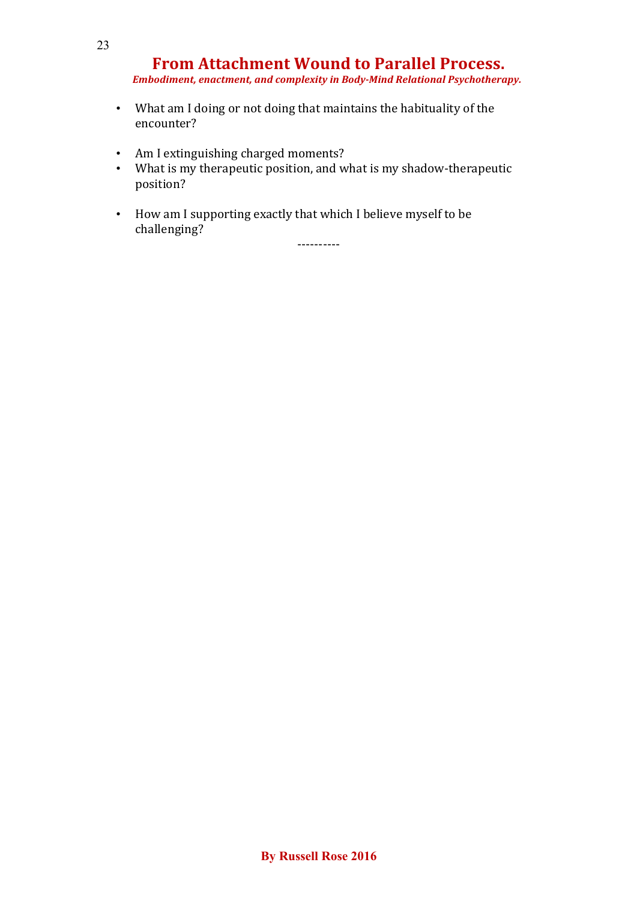*Embodiment, enactment, and complexity in Body-Mind Relational Psychotherapy.*

- What am I doing or not doing that maintains the habituality of the encounter?
- Am I extinguishing charged moments?
- What is my therapeutic position, and what is my shadow-therapeutic position?
- How am I supporting exactly that which I believe myself to be challenging?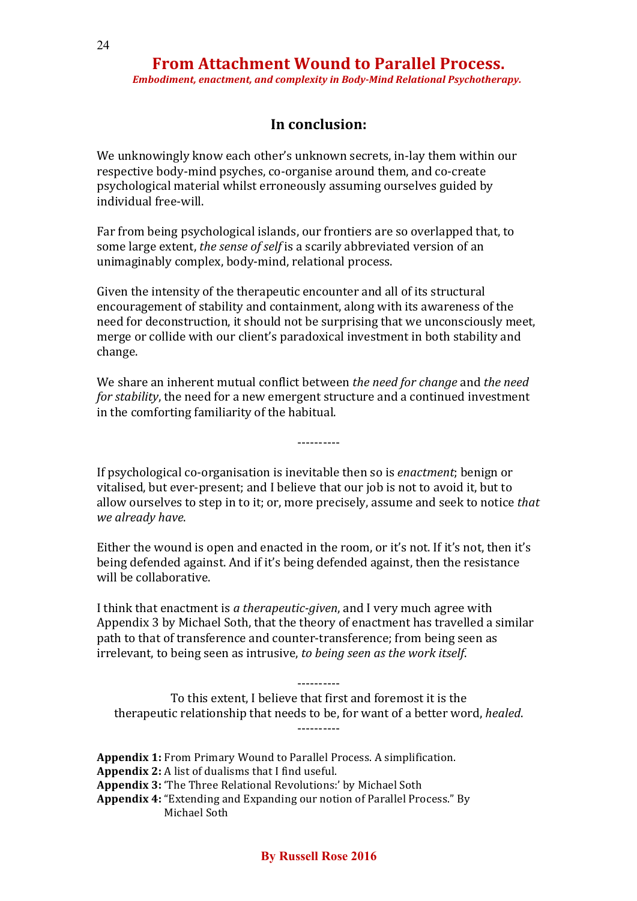*Embodiment, enactment, and complexity in Body-Mind Relational Psychotherapy.*

### **In conclusion:**

We unknowingly know each other's unknown secrets, in-lay them within our respective body-mind psyches, co-organise around them, and co-create psychological material whilst erroneously assuming ourselves guided by individual free-will.

Far from being psychological islands, our frontiers are so overlapped that, to some large extent, *the sense of self* is a scarily abbreviated version of an unimaginably complex, body-mind, relational process.

Given the intensity of the therapeutic encounter and all of its structural encouragement of stability and containment, along with its awareness of the need for deconstruction, it should not be surprising that we unconsciously meet, merge or collide with our client's paradoxical investment in both stability and change.

We share an inherent mutual conflict between *the need for change* and *the need for stability*, the need for a new emergent structure and a continued investment in the comforting familiarity of the habitual.

----------

If psychological co-organisation is inevitable then so is *enactment*; benign or vitalised, but ever-present; and I believe that our job is not to avoid it, but to allow ourselves to step in to it; or, more precisely, assume and seek to notice *that we already have*.

Either the wound is open and enacted in the room, or it's not. If it's not, then it's being defended against. And if it's being defended against, then the resistance will be collaborative.

I think that enactment is *a therapeutic-given*, and I very much agree with Appendix 3 by Michael Soth, that the theory of enactment has travelled a similar path to that of transference and counter-transference; from being seen as irrelevant, to being seen as intrusive, *to being seen as the work itself*.

To this extent, I believe that first and foremost it is the therapeutic relationship that needs to be, for want of a better word, *healed*. ----------

----------

**Appendix 1:** From Primary Wound to Parallel Process. A simplification. **Appendix 2:** A list of dualisms that I find useful. **Appendix 3:** 'The Three Relational Revolutions:' by Michael Soth **Appendix 4:** "Extending and Expanding our notion of Parallel Process." By Michael Soth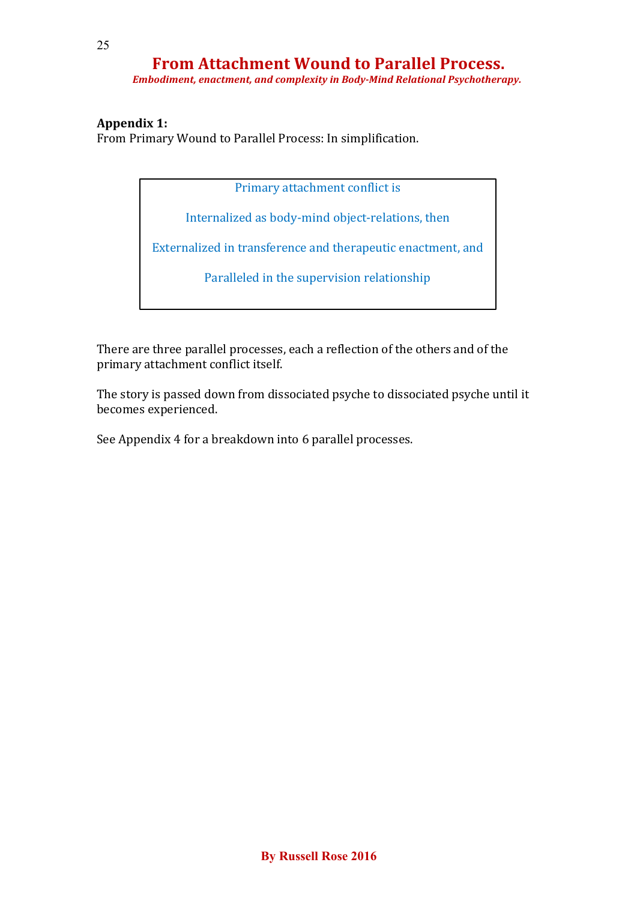*Embodiment, enactment, and complexity in Body-Mind Relational Psychotherapy.*

### **Appendix 1:**

From Primary Wound to Parallel Process: In simplification.

Primary attachment conflict is

Internalized as body-mind object-relations, then

Externalized in transference and therapeutic enactment, and

Paralleled in the supervision relationship

There are three parallel processes, each a reflection of the others and of the primary attachment conflict itself.

The story is passed down from dissociated psyche to dissociated psyche until it becomes experienced.

See Appendix 4 for a breakdown into 6 parallel processes.

25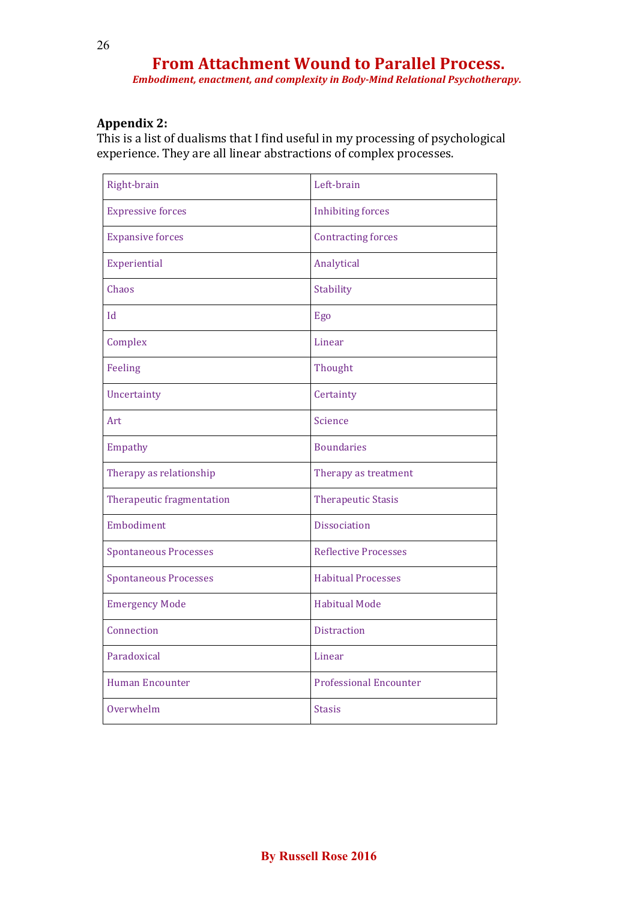*Embodiment, enactment, and complexity in Body-Mind Relational Psychotherapy.*

### **Appendix 2:**

This is a list of dualisms that I find useful in my processing of psychological experience. They are all linear abstractions of complex processes.

| Right-brain                  | Left-brain                    |
|------------------------------|-------------------------------|
| <b>Expressive forces</b>     | <b>Inhibiting forces</b>      |
| <b>Expansive forces</b>      | <b>Contracting forces</b>     |
| Experiential                 | Analytical                    |
| Chaos                        | Stability                     |
| $\mathbf{h}$                 | Ego                           |
| Complex                      | Linear                        |
| Feeling                      | Thought                       |
| Uncertainty                  | Certainty                     |
| Art                          | Science                       |
| Empathy                      | <b>Boundaries</b>             |
| Therapy as relationship      | Therapy as treatment          |
| Therapeutic fragmentation    | <b>Therapeutic Stasis</b>     |
| Embodiment                   | <b>Dissociation</b>           |
| <b>Spontaneous Processes</b> | <b>Reflective Processes</b>   |
| <b>Spontaneous Processes</b> | <b>Habitual Processes</b>     |
| <b>Emergency Mode</b>        | <b>Habitual Mode</b>          |
| Connection                   | <b>Distraction</b>            |
| Paradoxical                  | Linear                        |
| <b>Human Encounter</b>       | <b>Professional Encounter</b> |
| Overwhelm                    | <b>Stasis</b>                 |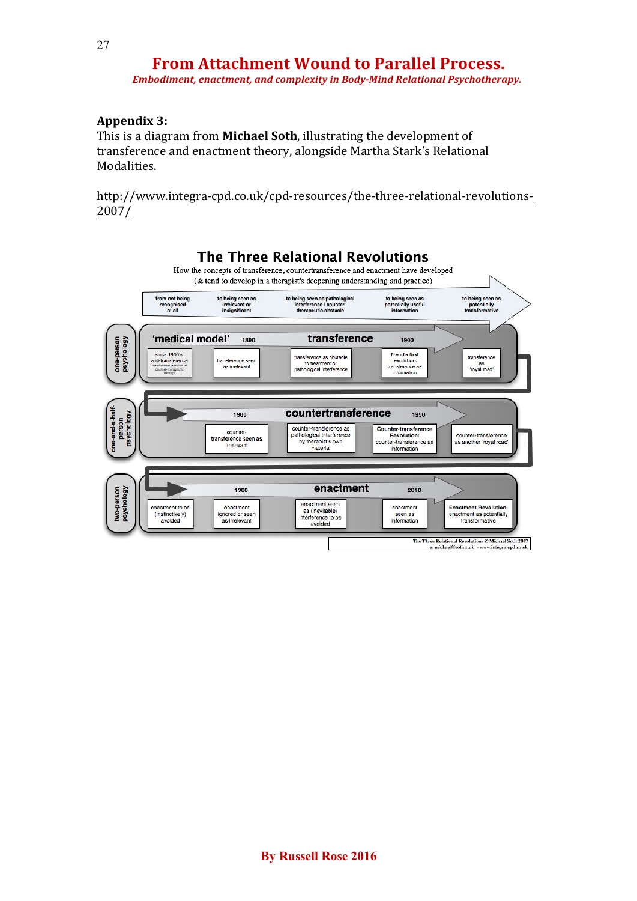*Embodiment, enactment, and complexity in Body-Mind Relational Psychotherapy.*

#### **Appendix 3:**

This is a diagram from **Michael Soth**, illustrating the development of transference and enactment theory, alongside Martha Stark's Relational **Modalities** 

http://www.integra-cpd.co.uk/cpd-resources/the-three-relational-revolutions-2007/